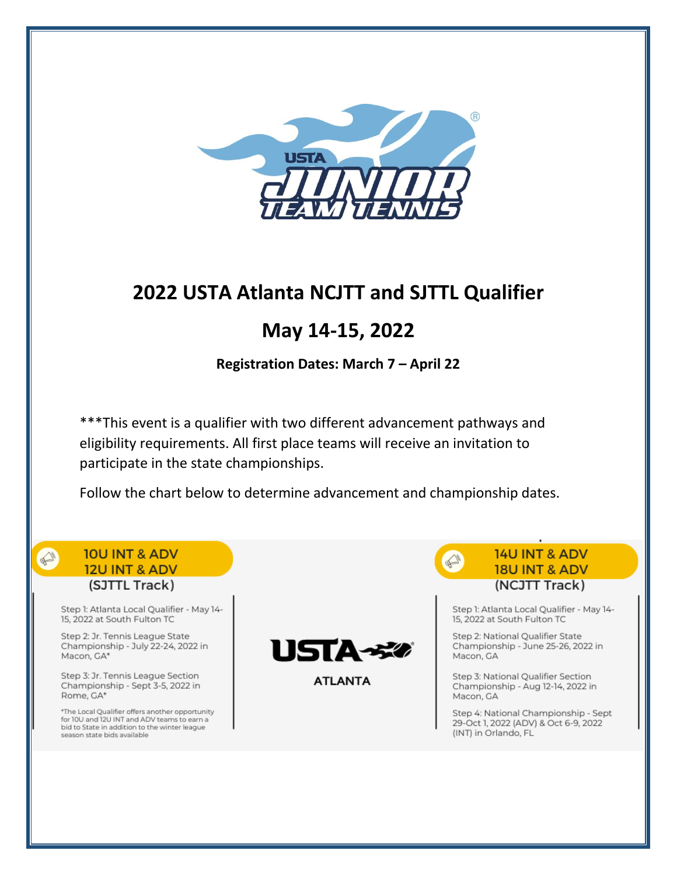

# **2022 USTA Atlanta NCJTT and SJTTL Qualifier**

# **May 14-15, 2022**

**Registration Dates: March 7 – April 22**

\*\*\*This event is a qualifier with two different advancement pathways and eligibility requirements. All first place teams will receive an invitation to participate in the state championships.

Follow the chart below to determine advancement and championship dates.

## **10U INT & ADV 12U INT & ADV** (SJTTL Track)

 $\mathbb{Q}$ 

Step 1: Atlanta Local Qualifier - May 14-15, 2022 at South Fulton TC

Step 2: Jr. Tennis League State Championship - July 22-24, 2022 in Macon, GA\*

Step 3: Jr. Tennis League Section Championship - Sept 3-5, 2022 in Rome, GA\*

\*The Local Qualifier offers another opportunity for 10U and 12U INT and ADV teams to earn a<br>bid to State in addition to the winter league season state bids available



**ATLANTA** 

**14U INT & ADV 18U INT & ADV** (NCJTT Track)

Step 1: Atlanta Local Qualifier - May 14-15, 2022 at South Fulton TC

Step 2: National Qualifier State Championship - June 25-26, 2022 in Macon, GA

Step 3: National Qualifier Section Championship - Aug 12-14, 2022 in Macon, GA

Step 4: National Championship - Sept 29-Oct 1, 2022 (ADV) & Oct 6-9, 2022 (INT) in Orlando, FL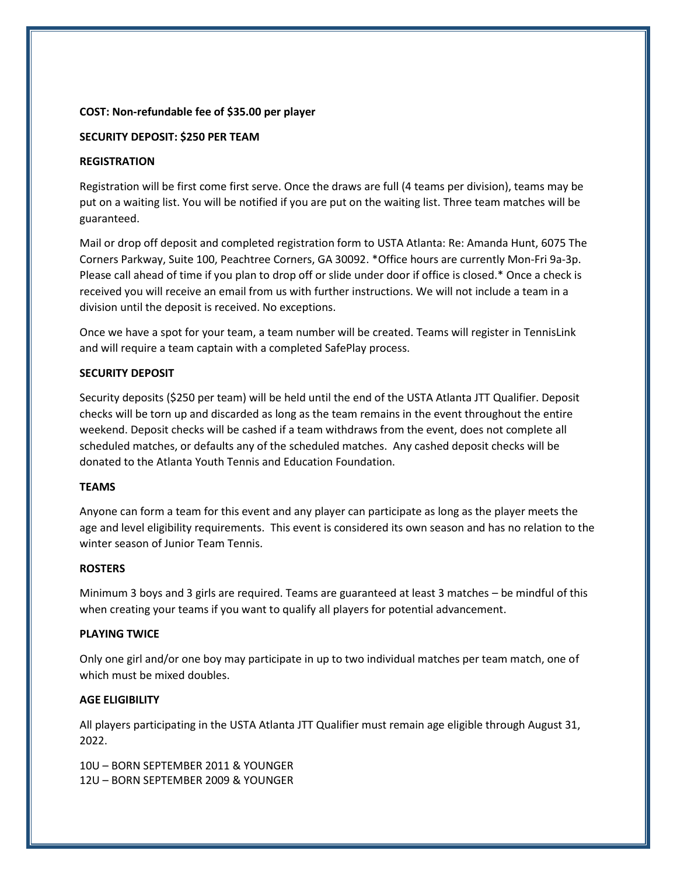### **COST: Non-refundable fee of \$35.00 per player**

### **SECURITY DEPOSIT: \$250 PER TEAM**

### **REGISTRATION**

Registration will be first come first serve. Once the draws are full (4 teams per division), teams may be put on a waiting list. You will be notified if you are put on the waiting list. Three team matches will be guaranteed.

Mail or drop off deposit and completed registration form to USTA Atlanta: Re: Amanda Hunt, 6075 The Corners Parkway, Suite 100, Peachtree Corners, GA 30092. \*Office hours are currently Mon-Fri 9a-3p. Please call ahead of time if you plan to drop off or slide under door if office is closed.\* Once a check is received you will receive an email from us with further instructions. We will not include a team in a division until the deposit is received. No exceptions.

Once we have a spot for your team, a team number will be created. Teams will register in TennisLink and will require a team captain with a completed SafePlay process.

## **SECURITY DEPOSIT**

Security deposits (\$250 per team) will be held until the end of the USTA Atlanta JTT Qualifier. Deposit checks will be torn up and discarded as long as the team remains in the event throughout the entire weekend. Deposit checks will be cashed if a team withdraws from the event, does not complete all scheduled matches, or defaults any of the scheduled matches. Any cashed deposit checks will be donated to the Atlanta Youth Tennis and Education Foundation.

#### **TEAMS**

Anyone can form a team for this event and any player can participate as long as the player meets the age and level eligibility requirements. This event is considered its own season and has no relation to the winter season of Junior Team Tennis.

#### **ROSTERS**

Minimum 3 boys and 3 girls are required. Teams are guaranteed at least 3 matches – be mindful of this when creating your teams if you want to qualify all players for potential advancement.

## **PLAYING TWICE**

Only one girl and/or one boy may participate in up to two individual matches per team match, one of which must be mixed doubles.

## **AGE ELIGIBILITY**

All players participating in the USTA Atlanta JTT Qualifier must remain age eligible through August 31, 2022.

10U – BORN SEPTEMBER 2011 & YOUNGER 12U – BORN SEPTEMBER 2009 & YOUNGER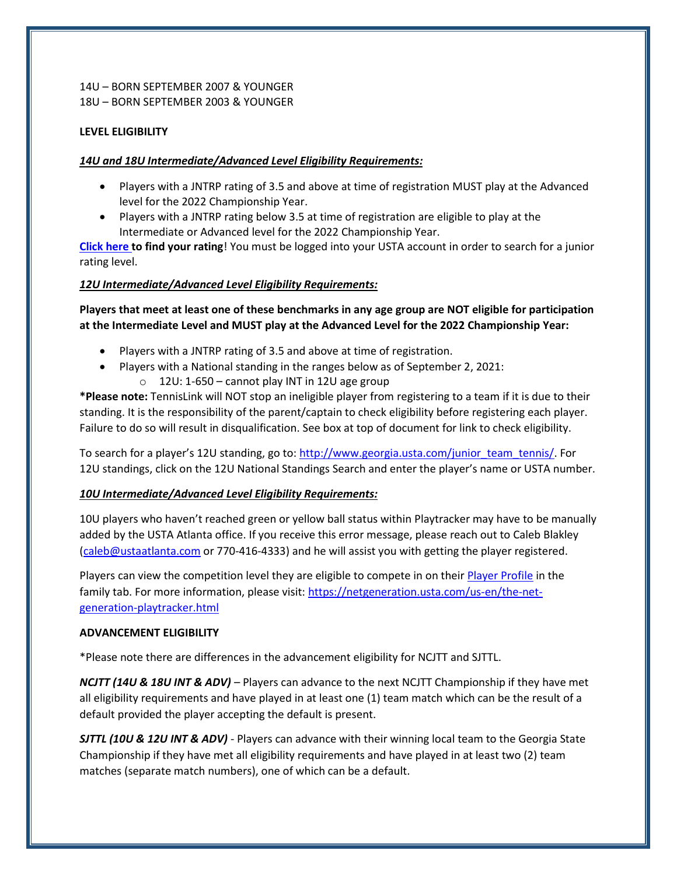## 14U – BORN SEPTEMBER 2007 & YOUNGER 18U – BORN SEPTEMBER 2003 & YOUNGER

## **LEVEL ELIGIBILITY**

## *14U and 18U Intermediate/Advanced Level Eligibility Requirements:*

- Players with a JNTRP rating of 3.5 and above at time of registration MUST play at the Advanced level for the 2022 Championship Year.
- Players with a JNTRP rating below 3.5 at time of registration are eligible to play at the Intermediate or Advanced level for the 2022 Championship Year.

**[Click here](http://tennislink.usta.com/TeamTennis/Main/Home.aspx) to find your rating**! You must be logged into your USTA account in order to search for a junior rating level.

## *12U Intermediate/Advanced Level Eligibility Requirements:*

**Players that meet at least one of these benchmarks in any age group are NOT eligible for participation at the Intermediate Level and MUST play at the Advanced Level for the 2022 Championship Year:**

- Players with a JNTRP rating of 3.5 and above at time of registration.
- Players with a National standing in the ranges below as of September 2, 2021:
	- $\circ$  12U: 1-650 cannot play INT in 12U age group

**\*Please note:** TennisLink will NOT stop an ineligible player from registering to a team if it is due to their standing. It is the responsibility of the parent/captain to check eligibility before registering each player. Failure to do so will result in disqualification. See box at top of document for link to check eligibility.

To search for a player's 12U standing, go to[: http://www.georgia.usta.com/junior\\_team\\_tennis/.](http://www.georgia.usta.com/junior_team_tennis/) For 12U standings, click on the 12U National Standings Search and enter the player's name or USTA number.

## *10U Intermediate/Advanced Level Eligibility Requirements:*

10U players who haven't reached green or yellow ball status within Playtracker may have to be manually added by the USTA Atlanta office. If you receive this error message, please reach out to Caleb Blakley [\(caleb@ustaatlanta.com](mailto:caleb@ustaatlanta.com) or 770-416-4333) and he will assist you with getting the player registered.

Players can view the competition level they are eligible to compete in on thei[r Player Profile](https://www.usta.com/en/home/myaccount/family.html) in the family tab. For more information, please visit[: https://netgeneration.usta.com/us-en/the-net](https://netgeneration.usta.com/us-en/the-net-generation-playtracker.html)[generation-playtracker.html](https://netgeneration.usta.com/us-en/the-net-generation-playtracker.html)

#### **ADVANCEMENT ELIGIBILITY**

\*Please note there are differences in the advancement eligibility for NCJTT and SJTTL.

*NCJTT (14U & 18U INT & ADV)* – Players can advance to the next NCJTT Championship if they have met all eligibility requirements and have played in at least one (1) team match which can be the result of a default provided the player accepting the default is present.

*SJTTL (10U & 12U INT & ADV)* - Players can advance with their winning local team to the Georgia State Championship if they have met all eligibility requirements and have played in at least two (2) team matches (separate match numbers), one of which can be a default.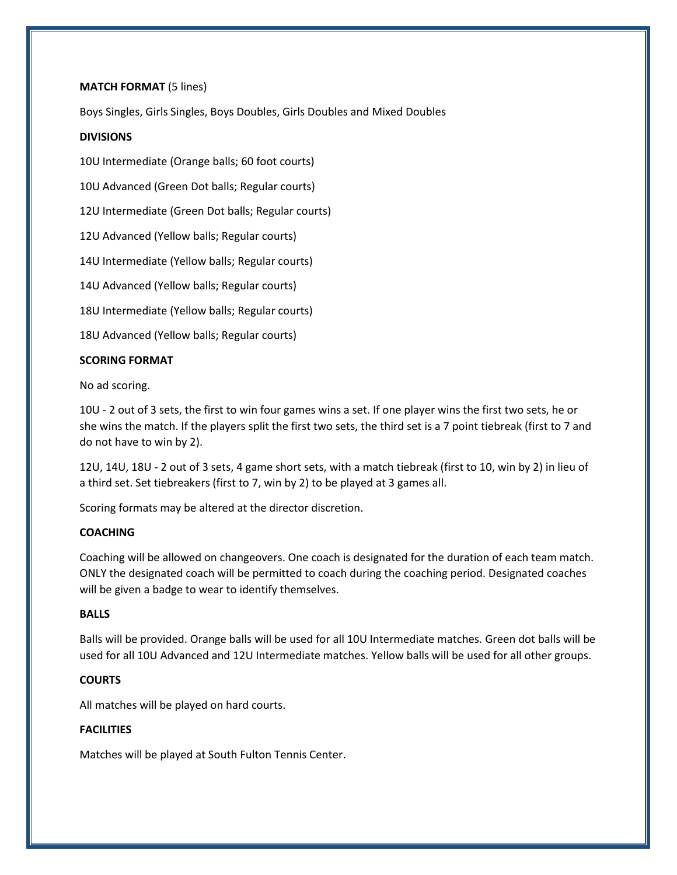## **MATCH FORMAT** (5 lines)

Boys Singles, Girls Singles, Boys Doubles, Girls Doubles and Mixed Doubles

### **DIVISIONS**

10U Intermediate (Orange balls; 60 foot courts)

10U Advanced (Green Dot balls; Regular courts)

12U Intermediate (Green Dot balls; Regular courts)

12U Advanced (Yellow balls; Regular courts)

14U Intermediate (Yellow balls; Regular courts)

14U Advanced (Yellow balls; Regular courts)

18U Intermediate (Yellow balls; Regular courts)

18U Advanced (Yellow balls; Regular courts)

## **SCORING FORMAT**

No ad scoring.

10U - 2 out of 3 sets, the first to win four games wins a set. If one player wins the first two sets, he or she wins the match. If the players split the first two sets, the third set is a 7 point tiebreak (first to 7 and do not have to win by 2).

12U, 14U, 18U - 2 out of 3 sets, 4 game short sets, with a match tiebreak (first to 10, win by 2) in lieu of a third set. Set tiebreakers (first to 7, win by 2) to be played at 3 games all.

Scoring formats may be altered at the director discretion.

## **COACHING**

Coaching will be allowed on changeovers. One coach is designated for the duration of each team match. ONLY the designated coach will be permitted to coach during the coaching period. Designated coaches will be given a badge to wear to identify themselves.

## **BALLS**

Balls will be provided. Orange balls will be used for all 10U Intermediate matches. Green dot balls will be used for all 10U Advanced and 12U Intermediate matches. Yellow balls will be used for all other groups.

## **COURTS**

All matches will be played on hard courts.

## **FACILITIES**

Matches will be played at South Fulton Tennis Center.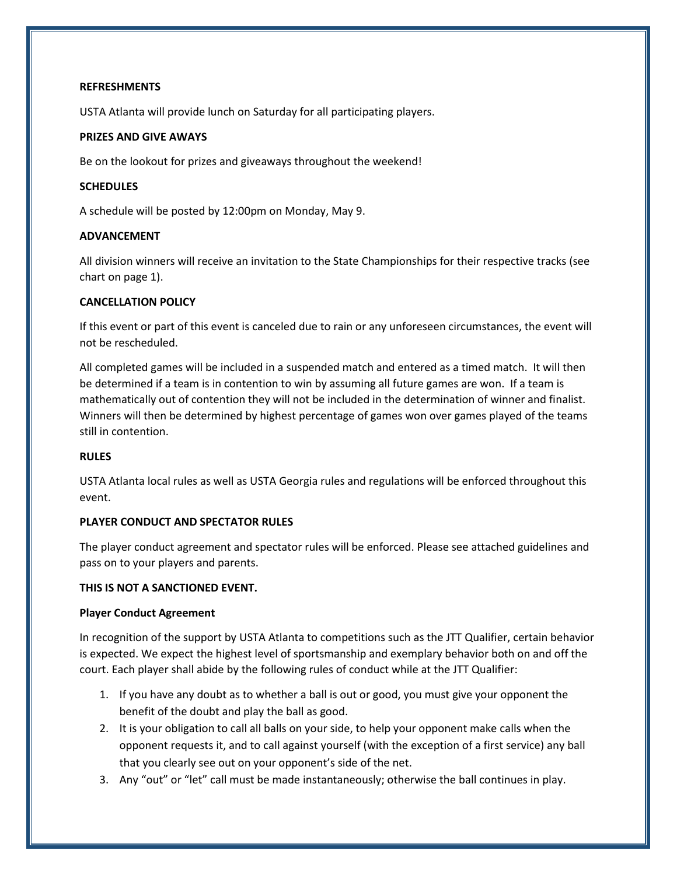### **REFRESHMENTS**

USTA Atlanta will provide lunch on Saturday for all participating players.

### **PRIZES AND GIVE AWAYS**

Be on the lookout for prizes and giveaways throughout the weekend!

#### **SCHEDULES**

A schedule will be posted by 12:00pm on Monday, May 9.

## **ADVANCEMENT**

All division winners will receive an invitation to the State Championships for their respective tracks (see chart on page 1).

## **CANCELLATION POLICY**

If this event or part of this event is canceled due to rain or any unforeseen circumstances, the event will not be rescheduled.

All completed games will be included in a suspended match and entered as a timed match. It will then be determined if a team is in contention to win by assuming all future games are won. If a team is mathematically out of contention they will not be included in the determination of winner and finalist. Winners will then be determined by highest percentage of games won over games played of the teams still in contention.

#### **RULES**

USTA Atlanta local rules as well as USTA Georgia rules and regulations will be enforced throughout this event.

## **PLAYER CONDUCT AND SPECTATOR RULES**

The player conduct agreement and spectator rules will be enforced. Please see attached guidelines and pass on to your players and parents.

#### **THIS IS NOT A SANCTIONED EVENT.**

#### **Player Conduct Agreement**

In recognition of the support by USTA Atlanta to competitions such as the JTT Qualifier, certain behavior is expected. We expect the highest level of sportsmanship and exemplary behavior both on and off the court. Each player shall abide by the following rules of conduct while at the JTT Qualifier:

- 1. If you have any doubt as to whether a ball is out or good, you must give your opponent the benefit of the doubt and play the ball as good.
- 2. It is your obligation to call all balls on your side, to help your opponent make calls when the opponent requests it, and to call against yourself (with the exception of a first service) any ball that you clearly see out on your opponent's side of the net.
- 3. Any "out" or "let" call must be made instantaneously; otherwise the ball continues in play.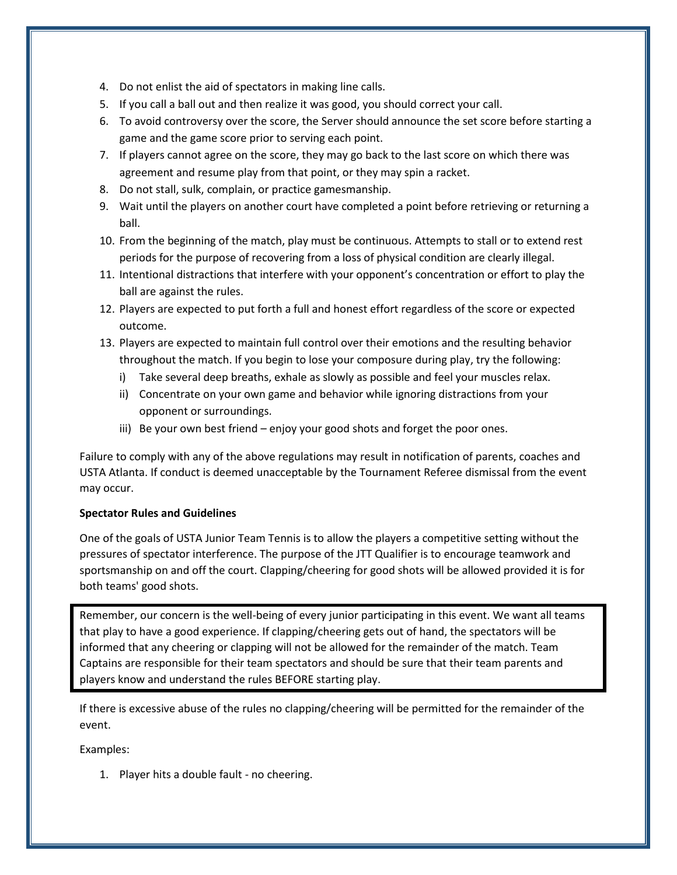- 4. Do not enlist the aid of spectators in making line calls.
- 5. If you call a ball out and then realize it was good, you should correct your call.
- 6. To avoid controversy over the score, the Server should announce the set score before starting a game and the game score prior to serving each point.
- 7. If players cannot agree on the score, they may go back to the last score on which there was agreement and resume play from that point, or they may spin a racket.
- 8. Do not stall, sulk, complain, or practice gamesmanship.
- 9. Wait until the players on another court have completed a point before retrieving or returning a ball.
- 10. From the beginning of the match, play must be continuous. Attempts to stall or to extend rest periods for the purpose of recovering from a loss of physical condition are clearly illegal.
- 11. Intentional distractions that interfere with your opponent's concentration or effort to play the ball are against the rules.
- 12. Players are expected to put forth a full and honest effort regardless of the score or expected outcome.
- 13. Players are expected to maintain full control over their emotions and the resulting behavior throughout the match. If you begin to lose your composure during play, try the following:
	- i) Take several deep breaths, exhale as slowly as possible and feel your muscles relax.
	- ii) Concentrate on your own game and behavior while ignoring distractions from your opponent or surroundings.
	- iii) Be your own best friend enjoy your good shots and forget the poor ones.

Failure to comply with any of the above regulations may result in notification of parents, coaches and USTA Atlanta. If conduct is deemed unacceptable by the Tournament Referee dismissal from the event may occur.

## **Spectator Rules and Guidelines**

One of the goals of USTA Junior Team Tennis is to allow the players a competitive setting without the pressures of spectator interference. The purpose of the JTT Qualifier is to encourage teamwork and sportsmanship on and off the court. Clapping/cheering for good shots will be allowed provided it is for both teams' good shots.

Remember, our concern is the well-being of every junior participating in this event. We want all teams that play to have a good experience. If clapping/cheering gets out of hand, the spectators will be informed that any cheering or clapping will not be allowed for the remainder of the match. Team Captains are responsible for their team spectators and should be sure that their team parents and players know and understand the rules BEFORE starting play.

If there is excessive abuse of the rules no clapping/cheering will be permitted for the remainder of the event.

Examples:

1. Player hits a double fault - no cheering.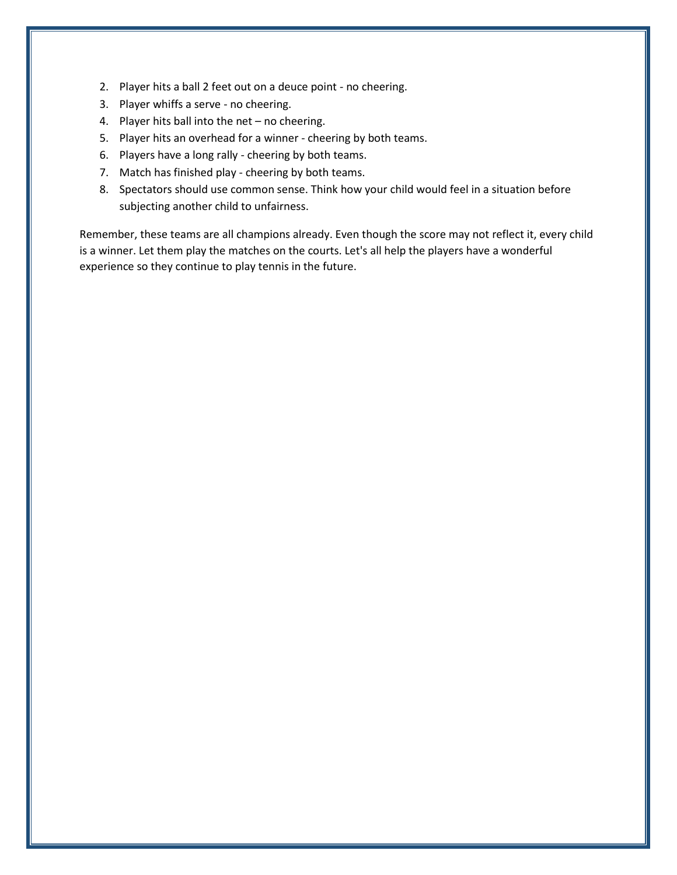- 2. Player hits a ball 2 feet out on a deuce point no cheering.
- 3. Player whiffs a serve no cheering.
- 4. Player hits ball into the net no cheering.
- 5. Player hits an overhead for a winner cheering by both teams.
- 6. Players have a long rally cheering by both teams.
- 7. Match has finished play cheering by both teams.
- 8. Spectators should use common sense. Think how your child would feel in a situation before subjecting another child to unfairness.

Remember, these teams are all champions already. Even though the score may not reflect it, every child is a winner. Let them play the matches on the courts. Let's all help the players have a wonderful experience so they continue to play tennis in the future.